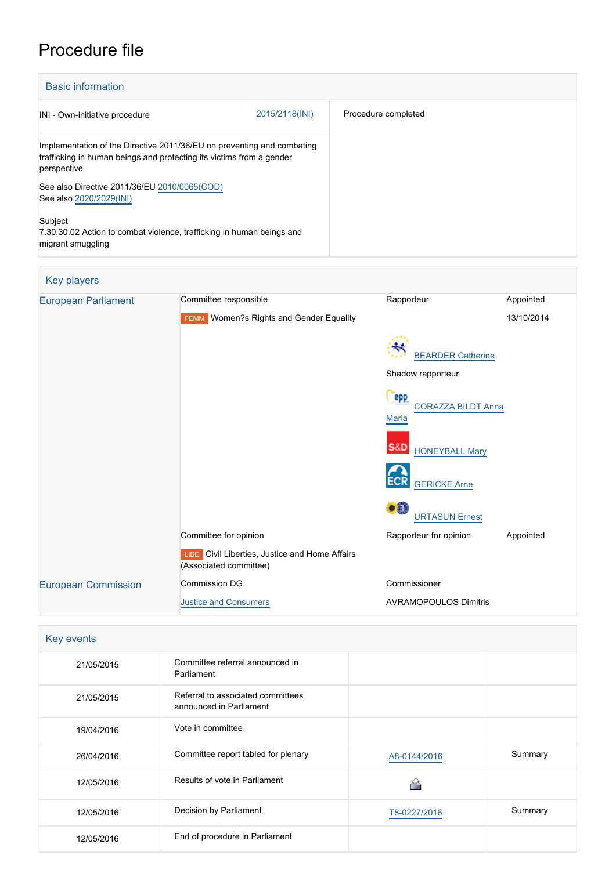# Procedure file

| <b>Basic information</b>                                                                                                                                      |                |                     |  |  |
|---------------------------------------------------------------------------------------------------------------------------------------------------------------|----------------|---------------------|--|--|
| INI - Own-initiative procedure                                                                                                                                | 2015/2118(INI) | Procedure completed |  |  |
| Implementation of the Directive 2011/36/EU on preventing and combating<br>trafficking in human beings and protecting its victims from a gender<br>perspective |                |                     |  |  |
| See also Directive 2011/36/EU 2010/0065(COD)<br>See also 2020/2029(INI)                                                                                       |                |                     |  |  |
| Subject<br>7.30.30.02 Action to combat violence, trafficking in human beings and<br>migrant smuggling                                                         |                |                     |  |  |

### Key players [European Parliament](http://www.europarl.europa.eu/) Committee responsible Rapporteur Rapporteur Appointed FEMM Women?s Rights and Gender Equality 13/10/2014 **[BEARDER Catherine](http://www.europarl.europa.eu/meps/en/96955)** Shadow rapporteur epp [CORAZZA BILDT Anna](http://www.europarl.europa.eu/meps/en/96674) **[Maria](http://www.europarl.europa.eu/meps/en/96674) S&D** [HONEYBALL Mary](http://www.europarl.europa.eu/meps/en/5846) ECR [GERICKE Arne](http://www.europarl.europa.eu/meps/en/124815) [URTASUN Ernest](http://www.europarl.europa.eu/meps/en/124972) Committee for opinion **Committee for opinion** Rapporteur for opinion Appointed **LIBE** Civil Liberties, Justice and Home Affairs (Associated committee) [European Commission](http://ec.europa.eu/) Commission DG Commissioner [Justice and Consumers](http://ec.europa.eu/info/departments/justice-and-consumers_en) AVRAMOPOULOS Dimitris

| Key events |                                                              |              |         |
|------------|--------------------------------------------------------------|--------------|---------|
| 21/05/2015 | Committee referral announced in<br>Parliament                |              |         |
| 21/05/2015 | Referral to associated committees<br>announced in Parliament |              |         |
| 19/04/2016 | Vote in committee                                            |              |         |
| 26/04/2016 | Committee report tabled for plenary                          | A8-0144/2016 | Summary |
| 12/05/2016 | Results of vote in Parliament                                |              |         |
| 12/05/2016 | Decision by Parliament                                       | T8-0227/2016 | Summary |
| 12/05/2016 | End of procedure in Parliament                               |              |         |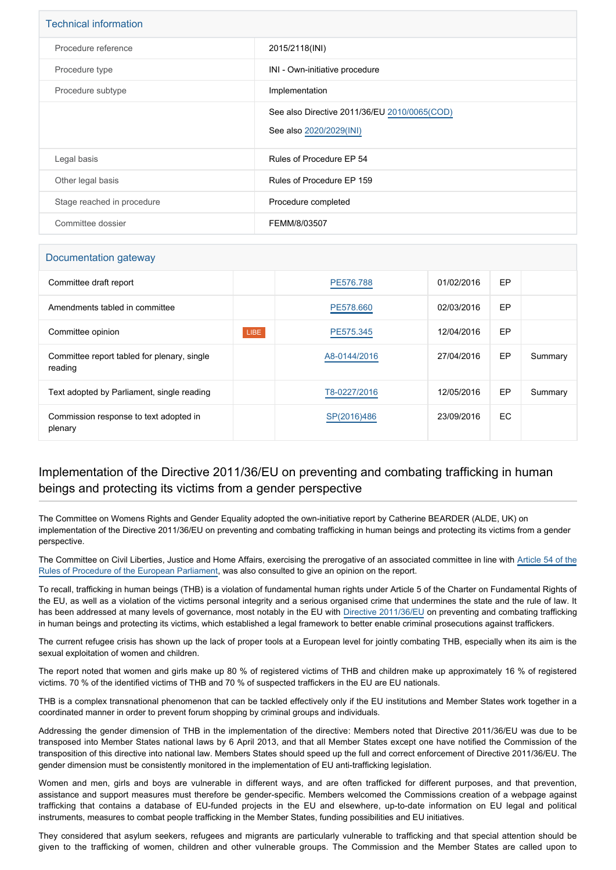| <b>Technical information</b> |                                                                         |  |
|------------------------------|-------------------------------------------------------------------------|--|
| Procedure reference          | 2015/2118(INI)                                                          |  |
| Procedure type               | INI - Own-initiative procedure                                          |  |
| Procedure subtype            | Implementation                                                          |  |
|                              | See also Directive 2011/36/EU 2010/0065(COD)<br>See also 2020/2029(INI) |  |
| Legal basis                  | Rules of Procedure EP 54                                                |  |
| Other legal basis            | Rules of Procedure EP 159                                               |  |
| Stage reached in procedure   | Procedure completed                                                     |  |
| Committee dossier            | FEMM/8/03507                                                            |  |

## Documentation gateway Committee draft report **[PE576.788](https://www.europarl.europa.eu/doceo/document/FEMM-PR-576788_EN.html)** 01/02/2016 EP Amendments tabled in committee **[PE578.660](https://www.europarl.europa.eu/doceo/document/FEMM-AM-578660_EN.html)** PE578.660 PE6778.660 PEP **Committee opinion LIBE [PE575.345](https://www.europarl.europa.eu/doceo/document/LIBE-AD-575345_EN.html)** 12/04/2016 EP Committee report tabled for plenary, single reading [A8-0144/2016](https://www.europarl.europa.eu/doceo/document/A-8-2016-0144_EN.html) 27/04/2016 EP Summary Text adopted by Parliament, single reading TECH CONSERVIT [T8-0227/2016](https://www.europarl.europa.eu/doceo/document/TA-8-2016-0227_EN.html) 12/05/2016 EP Summary Commission response to text adopted in plenary SP(2016)486 23/09/2016 EC

#### Implementation of the Directive 2011/36/EU on preventing and combating trafficking in human beings and protecting its victims from a gender perspective

The Committee on Womens Rights and Gender Equality adopted the own-initiative report by Catherine BEARDER (ALDE, UK) on implementation of the Directive 2011/36/EU on preventing and combating trafficking in human beings and protecting its victims from a gender perspective.

The Committee on Civil Liberties, Justice and Home Affairs, exercising the prerogative of an associated committee in line with [Article 54 of the](http://www.europarl.europa.eu/sides/getDoc.do?pubRef=-//EP//TEXT+RULES-EP+20140701+RULE-054+DOC+XML+V0//EN&navigationBar=YES) [Rules of Procedure of the European Parliament,](http://www.europarl.europa.eu/sides/getDoc.do?pubRef=-//EP//TEXT+RULES-EP+20140701+RULE-054+DOC+XML+V0//EN&navigationBar=YES) was also consulted to give an opinion on the report.

To recall, trafficking in human beings (THB) is a violation of fundamental human rights under Article 5 of the Charter on Fundamental Rights of the EU, as well as a violation of the victims personal integrity and a serious organised crime that undermines the state and the rule of law. It has been addressed at many levels of governance, most notably in the EU with [Directive 2011/36/EU](http://www.europarl.europa.eu/oeil/popups/ficheprocedure.do?lang=EN&procnum=COD/2010/0065) on preventing and combating trafficking in human beings and protecting its victims, which established a legal framework to better enable criminal prosecutions against traffickers.

The current refugee crisis has shown up the lack of proper tools at a European level for jointly combating THB, especially when its aim is the sexual exploitation of women and children.

The report noted that women and girls make up 80 % of registered victims of THB and children make up approximately 16 % of registered victims. 70 % of the identified victims of THB and 70 % of suspected traffickers in the EU are EU nationals.

THB is a complex transnational phenomenon that can be tackled effectively only if the EU institutions and Member States work together in a coordinated manner in order to prevent forum shopping by criminal groups and individuals.

Addressing the gender dimension of THB in the implementation of the directive: Members noted that Directive 2011/36/EU was due to be transposed into Member States national laws by 6 April 2013, and that all Member States except one have notified the Commission of the transposition of this directive into national law. Members States should speed up the full and correct enforcement of Directive 2011/36/EU. The gender dimension must be consistently monitored in the implementation of EU anti-trafficking legislation.

Women and men, girls and boys are vulnerable in different ways, and are often trafficked for different purposes, and that prevention, assistance and support measures must therefore be gender-specific. Members welcomed the Commissions creation of a webpage against trafficking that contains a database of EU-funded projects in the EU and elsewhere, up-to-date information on EU legal and political instruments, measures to combat people trafficking in the Member States, funding possibilities and EU initiatives.

They considered that asylum seekers, refugees and migrants are particularly vulnerable to trafficking and that special attention should be given to the trafficking of women, children and other vulnerable groups. The Commission and the Member States are called upon to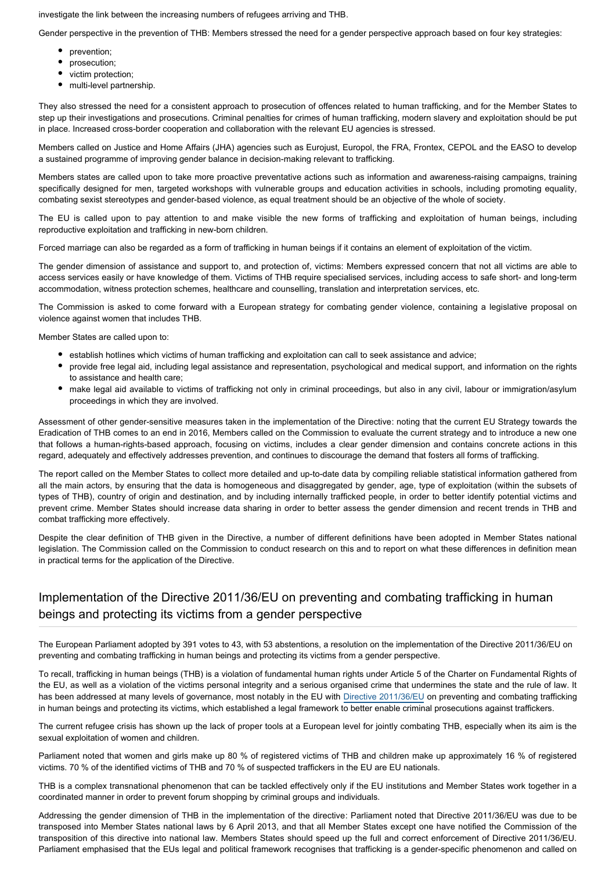investigate the link between the increasing numbers of refugees arriving and THB.

Gender perspective in the prevention of THB: Members stressed the need for a gender perspective approach based on four key strategies:

- prevention;
- prosecution;
- victim protection;
- multi-level partnership.

They also stressed the need for a consistent approach to prosecution of offences related to human trafficking, and for the Member States to step up their investigations and prosecutions. Criminal penalties for crimes of human trafficking, modern slavery and exploitation should be put in place. Increased cross-border cooperation and collaboration with the relevant EU agencies is stressed.

Members called on Justice and Home Affairs (JHA) agencies such as Eurojust, Europol, the FRA, Frontex, CEPOL and the EASO to develop a sustained programme of improving gender balance in decision-making relevant to trafficking.

Members states are called upon to take more proactive preventative actions such as information and awareness-raising campaigns, training specifically designed for men, targeted workshops with vulnerable groups and education activities in schools, including promoting equality, combating sexist stereotypes and gender-based violence, as equal treatment should be an objective of the whole of society.

The EU is called upon to pay attention to and make visible the new forms of trafficking and exploitation of human beings, including reproductive exploitation and trafficking in new-born children.

Forced marriage can also be regarded as a form of trafficking in human beings if it contains an element of exploitation of the victim.

The gender dimension of assistance and support to, and protection of, victims: Members expressed concern that not all victims are able to access services easily or have knowledge of them. Victims of THB require specialised services, including access to safe short- and long-term accommodation, witness protection schemes, healthcare and counselling, translation and interpretation services, etc.

The Commission is asked to come forward with a European strategy for combating gender violence, containing a legislative proposal on violence against women that includes THB.

Member States are called upon to:

- establish hotlines which victims of human trafficking and exploitation can call to seek assistance and advice;
- provide free legal aid, including legal assistance and representation, psychological and medical support, and information on the rights to assistance and health care;
- make legal aid available to victims of trafficking not only in criminal proceedings, but also in any civil, labour or immigration/asylum proceedings in which they are involved.

Assessment of other gender-sensitive measures taken in the implementation of the Directive: noting that the current EU Strategy towards the Eradication of THB comes to an end in 2016, Members called on the Commission to evaluate the current strategy and to introduce a new one that follows a human-rights-based approach, focusing on victims, includes a clear gender dimension and contains concrete actions in this regard, adequately and effectively addresses prevention, and continues to discourage the demand that fosters all forms of trafficking.

The report called on the Member States to collect more detailed and up-to-date data by compiling reliable statistical information gathered from all the main actors, by ensuring that the data is homogeneous and disaggregated by gender, age, type of exploitation (within the subsets of types of THB), country of origin and destination, and by including internally trafficked people, in order to better identify potential victims and prevent crime. Member States should increase data sharing in order to better assess the gender dimension and recent trends in THB and combat trafficking more effectively.

Despite the clear definition of THB given in the Directive, a number of different definitions have been adopted in Member States national legislation. The Commission called on the Commission to conduct research on this and to report on what these differences in definition mean in practical terms for the application of the Directive.

#### Implementation of the Directive 2011/36/EU on preventing and combating trafficking in human beings and protecting its victims from a gender perspective

The European Parliament adopted by 391 votes to 43, with 53 abstentions, a resolution on the implementation of the Directive 2011/36/EU on preventing and combating trafficking in human beings and protecting its victims from a gender perspective.

To recall, trafficking in human beings (THB) is a violation of fundamental human rights under Article 5 of the Charter on Fundamental Rights of the EU, as well as a violation of the victims personal integrity and a serious organised crime that undermines the state and the rule of law. It has been addressed at many levels of governance, most notably in the EU with [Directive 2011/36/EU](http://www.europarl.europa.eu/oeil/popups/ficheprocedure.do?lang=EN&procnum=COD/2010/0065) on preventing and combating trafficking in human beings and protecting its victims, which established a legal framework to better enable criminal prosecutions against traffickers.

The current refugee crisis has shown up the lack of proper tools at a European level for jointly combating THB, especially when its aim is the sexual exploitation of women and children.

Parliament noted that women and girls make up 80 % of registered victims of THB and children make up approximately 16 % of registered victims. 70 % of the identified victims of THB and 70 % of suspected traffickers in the EU are EU nationals.

THB is a complex transnational phenomenon that can be tackled effectively only if the EU institutions and Member States work together in a coordinated manner in order to prevent forum shopping by criminal groups and individuals.

Addressing the gender dimension of THB in the implementation of the directive: Parliament noted that Directive 2011/36/EU was due to be transposed into Member States national laws by 6 April 2013, and that all Member States except one have notified the Commission of the transposition of this directive into national law. Members States should speed up the full and correct enforcement of Directive 2011/36/EU. Parliament emphasised that the EUs legal and political framework recognises that trafficking is a gender-specific phenomenon and called on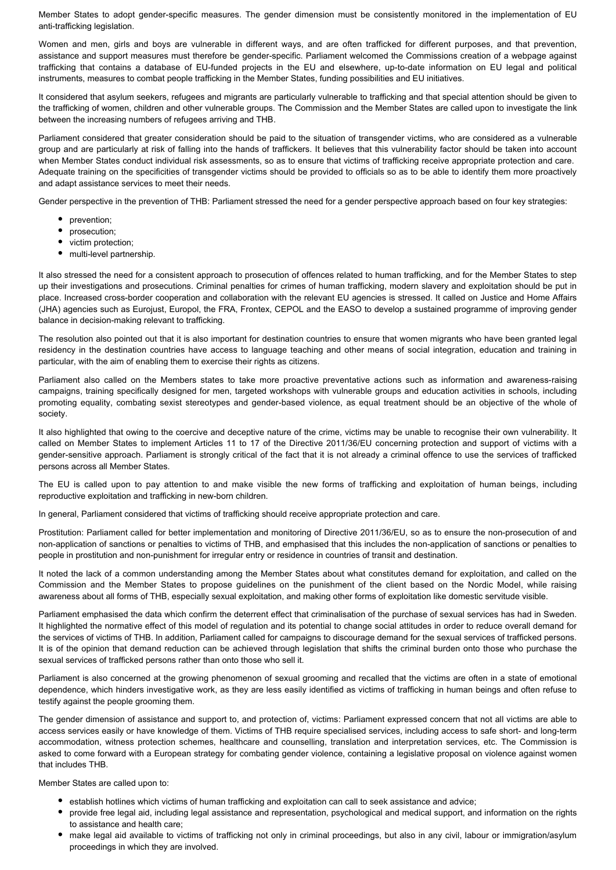Member States to adopt gender-specific measures. The gender dimension must be consistently monitored in the implementation of EU anti-trafficking legislation.

Women and men, girls and boys are vulnerable in different ways, and are often trafficked for different purposes, and that prevention, assistance and support measures must therefore be gender-specific. Parliament welcomed the Commissions creation of a webpage against trafficking that contains a database of EU-funded projects in the EU and elsewhere, up-to-date information on EU legal and political instruments, measures to combat people trafficking in the Member States, funding possibilities and EU initiatives.

It considered that asylum seekers, refugees and migrants are particularly vulnerable to trafficking and that special attention should be given to the trafficking of women, children and other vulnerable groups. The Commission and the Member States are called upon to investigate the link between the increasing numbers of refugees arriving and THB.

Parliament considered that greater consideration should be paid to the situation of transgender victims, who are considered as a vulnerable group and are particularly at risk of falling into the hands of traffickers. It believes that this vulnerability factor should be taken into account when Member States conduct individual risk assessments, so as to ensure that victims of trafficking receive appropriate protection and care. Adequate training on the specificities of transgender victims should be provided to officials so as to be able to identify them more proactively and adapt assistance services to meet their needs.

Gender perspective in the prevention of THB: Parliament stressed the need for a gender perspective approach based on four key strategies:

- prevention:
- prosecution;
- victim protection;
- multi-level partnership.

It also stressed the need for a consistent approach to prosecution of offences related to human trafficking, and for the Member States to step up their investigations and prosecutions. Criminal penalties for crimes of human trafficking, modern slavery and exploitation should be put in place. Increased cross-border cooperation and collaboration with the relevant EU agencies is stressed. It called on Justice and Home Affairs (JHA) agencies such as Eurojust, Europol, the FRA, Frontex, CEPOL and the EASO to develop a sustained programme of improving gender balance in decision-making relevant to trafficking.

The resolution also pointed out that it is also important for destination countries to ensure that women migrants who have been granted legal residency in the destination countries have access to language teaching and other means of social integration, education and training in particular, with the aim of enabling them to exercise their rights as citizens.

Parliament also called on the Members states to take more proactive preventative actions such as information and awareness-raising campaigns, training specifically designed for men, targeted workshops with vulnerable groups and education activities in schools, including promoting equality, combating sexist stereotypes and gender-based violence, as equal treatment should be an objective of the whole of society.

It also highlighted that owing to the coercive and deceptive nature of the crime, victims may be unable to recognise their own vulnerability. It called on Member States to implement Articles 11 to 17 of the Directive 2011/36/EU concerning protection and support of victims with a gender-sensitive approach. Parliament is strongly critical of the fact that it is not already a criminal offence to use the services of trafficked persons across all Member States.

The EU is called upon to pay attention to and make visible the new forms of trafficking and exploitation of human beings, including reproductive exploitation and trafficking in new-born children.

In general, Parliament considered that victims of trafficking should receive appropriate protection and care.

Prostitution: Parliament called for better implementation and monitoring of Directive 2011/36/EU, so as to ensure the non-prosecution of and non-application of sanctions or penalties to victims of THB, and emphasised that this includes the non-application of sanctions or penalties to people in prostitution and non-punishment for irregular entry or residence in countries of transit and destination.

It noted the lack of a common understanding among the Member States about what constitutes demand for exploitation, and called on the Commission and the Member States to propose guidelines on the punishment of the client based on the Nordic Model, while raising awareness about all forms of THB, especially sexual exploitation, and making other forms of exploitation like domestic servitude visible.

Parliament emphasised the data which confirm the deterrent effect that criminalisation of the purchase of sexual services has had in Sweden. It highlighted the normative effect of this model of regulation and its potential to change social attitudes in order to reduce overall demand for the services of victims of THB. In addition, Parliament called for campaigns to discourage demand for the sexual services of trafficked persons. It is of the opinion that demand reduction can be achieved through legislation that shifts the criminal burden onto those who purchase the sexual services of trafficked persons rather than onto those who sell it.

Parliament is also concerned at the growing phenomenon of sexual grooming and recalled that the victims are often in a state of emotional dependence, which hinders investigative work, as they are less easily identified as victims of trafficking in human beings and often refuse to testify against the people grooming them.

The gender dimension of assistance and support to, and protection of, victims: Parliament expressed concern that not all victims are able to access services easily or have knowledge of them. Victims of THB require specialised services, including access to safe short- and long-term accommodation, witness protection schemes, healthcare and counselling, translation and interpretation services, etc. The Commission is asked to come forward with a European strategy for combating gender violence, containing a legislative proposal on violence against women that includes THB.

Member States are called upon to:

- **establish hotlines which victims of human trafficking and exploitation can call to seek assistance and advice;**
- provide free legal aid, including legal assistance and representation, psychological and medical support, and information on the rights to assistance and health care;
- make legal aid available to victims of trafficking not only in criminal proceedings, but also in any civil, labour or immigration/asylum proceedings in which they are involved.